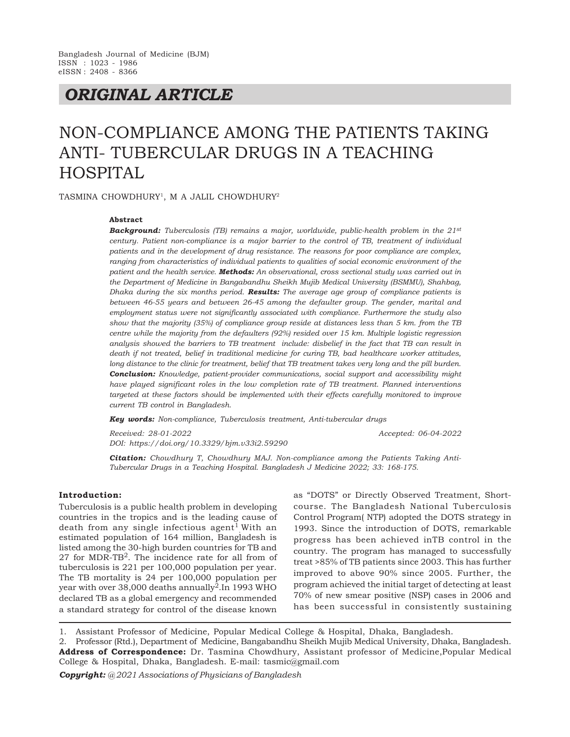## *ORIGINAL ARTICLE*

# NON-COMPLIANCE AMONG THE PATIENTS TAKING ANTI- TUBERCULAR DRUGS IN A TEACHING HOSPITAL

TASMINA CHOWDHURY<sup>1</sup> , M A JALIL CHOWDHURY<sup>2</sup>

#### **Abstract**

*Background: Tuberculosis (TB) remains a major, worldwide, public-health problem in the 21st century. Patient non-compliance is a major barrier to the control of TB, treatment of individual patients and in the development of drug resistance. The reasons for poor compliance are complex, ranging from characteristics of individual patients to qualities of social economic environment of the patient and the health service. Methods: An observational, cross sectional study was carried out in the Department of Medicine in Bangabandhu Sheikh Mujib Medical University (BSMMU), Shahbag, Dhaka during the six months period. Results: The average age group of compliance patients is between 46-55 years and between 26-45 among the defaulter group. The gender, marital and employment status were not significantly associated with compliance. Furthermore the study also show that the majority (35%) of compliance group reside at distances less than 5 km. from the TB centre while the majority from the defaulters (92%) resided over 15 km. Multiple logistic regression analysis showed the barriers to TB treatment include: disbelief in the fact that TB can result in death if not treated, belief in traditional medicine for curing TB, bad healthcare worker attitudes, long distance to the clinic for treatment, belief that TB treatment takes very long and the pill burden. Conclusion: Knowledge, patient-provider communications, social support and accessibility might have played significant roles in the low completion rate of TB treatment. Planned interventions targeted at these factors should be implemented with their effects carefully monitored to improve current TB control in Bangladesh.*

*Key words: Non-compliance, Tuberculosis treatment, Anti-tubercular drugs*

*Received: 28-01-2022 Accepted: 06-04-2022 DOI: https://doi.org/10.3329/bjm.v33i2.59290*

*Citation: Chowdhury T, Chowdhury MAJ. Non-compliance among the Patients Taking Anti-Tubercular Drugs in a Teaching Hospital. Bangladesh J Medicine 2022; 33: 168-175.*

#### **Introduction:**

Tuberculosis is a public health problem in developing countries in the tropics and is the leading cause of death from any single infectious  $agent<sup>1</sup>$  With an estimated population of 164 million, Bangladesh is listed among the 30-high burden countries for TB and  $27$  for MDR-TB<sup>2</sup>. The incidence rate for all from of tuberculosis is 221 per 100,000 population per year. The TB mortality is 24 per 100,000 population per year with over  $38,000$  deaths annually<sup>2</sup>. In 1993 WHO declared TB as a global emergency and recommended a standard strategy for control of the disease known

as "DOTS" or Directly Observed Treatment, Shortcourse. The Bangladesh National Tuberculosis Control Program( NTP) adopted the DOTS strategy in 1993. Since the introduction of DOTS, remarkable progress has been achieved inTB control in the country. The program has managed to successfully treat >85% of TB patients since 2003. This has further improved to above 90% since 2005. Further, the program achieved the initial target of detecting at least 70% of new smear positive (NSP) cases in 2006 and has been successful in consistently sustaining

1. Assistant Professor of Medicine, Popular Medical College & Hospital, Dhaka, Bangladesh.

2. Professor (Rtd.), Department of Medicine, Bangabandhu Sheikh Mujib Medical University, Dhaka, Bangladesh. **Address of Correspondence:** Dr. Tasmina Chowdhury, Assistant professor of Medicine,Popular Medical College & Hospital, Dhaka, Bangladesh. E-mail: tasmic@gmail.com

*Copyright: @ 2021 Associations of Physicians of Bangladesh*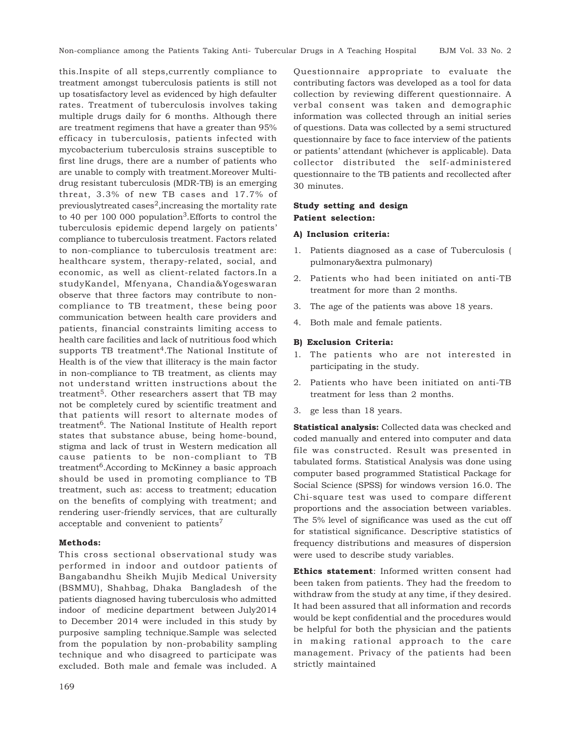this.Inspite of all steps,currently compliance to treatment amongst tuberculosis patients is still not up tosatisfactory level as evidenced by high defaulter rates. Treatment of tuberculosis involves taking multiple drugs daily for 6 months. Although there are treatment regimens that have a greater than 95% efficacy in tuberculosis, patients infected with mycobacterium tuberculosis strains susceptible to first line drugs, there are a number of patients who are unable to comply with treatment.Moreover Multidrug resistant tuberculosis (MDR-TB) is an emerging threat, 3.3% of new TB cases and 17.7% of previously treated cases<sup>2</sup>, increasing the mortality rate to 40 per 100 000 population<sup>3</sup>. Efforts to control the tuberculosis epidemic depend largely on patients' compliance to tuberculosis treatment. Factors related to non-compliance to tuberculosis treatment are: healthcare system, therapy-related, social, and economic, as well as client-related factors.In a studyKandel, Mfenyana, Chandia&Yogeswaran observe that three factors may contribute to noncompliance to TB treatment, these being poor communication between health care providers and patients, financial constraints limiting access to health care facilities and lack of nutritious food which supports TB treatment<sup>4</sup>. The National Institute of Health is of the view that illiteracy is the main factor in non-compliance to TB treatment, as clients may not understand written instructions about the treatment5. Other researchers assert that TB may not be completely cured by scientific treatment and that patients will resort to alternate modes of treatment<sup>6</sup>. The National Institute of Health report states that substance abuse, being home-bound, stigma and lack of trust in Western medication all cause patients to be non-compliant to TB treatment<sup>6</sup>.According to McKinney a basic approach should be used in promoting compliance to TB treatment, such as: access to treatment; education on the benefits of complying with treatment; and rendering user-friendly services, that are culturally acceptable and convenient to patients<sup>7</sup>

## **Methods:**

This cross sectional observational study was performed in indoor and outdoor patients of Bangabandhu Sheikh Mujib Medical University (BSMMU), Shahbag, Dhaka Bangladesh of the patients diagnosed having tuberculosis who admitted indoor of medicine department between July2014 to December 2014 were included in this study by purposive sampling technique.Sample was selected from the population by non-probability sampling technique and who disagreed to participate was excluded. Both male and female was included. A

Questionnaire appropriate to evaluate the contributing factors was developed as a tool for data collection by reviewing different questionnaire. A verbal consent was taken and demographic information was collected through an initial series of questions. Data was collected by a semi structured questionnaire by face to face interview of the patients or patients' attendant (whichever is applicable). Data collector distributed the self-administered questionnaire to the TB patients and recollected after 30 minutes.

## **Study setting and design Patient selection:**

#### **A) Inclusion criteria:**

- 1. Patients diagnosed as a case of Tuberculosis ( pulmonary&extra pulmonary)
- 2. Patients who had been initiated on anti-TB treatment for more than 2 months.
- 3. The age of the patients was above 18 years.
- 4. Both male and female patients.

#### **B) Exclusion Criteria:**

- 1. The patients who are not interested in participating in the study.
- 2. Patients who have been initiated on anti-TB treatment for less than 2 months.
- 3. ge less than 18 years.

**Statistical analysis:** Collected data was checked and coded manually and entered into computer and data file was constructed. Result was presented in tabulated forms. Statistical Analysis was done using computer based programmed Statistical Package for Social Science (SPSS) for windows version 16.0. The Chi-square test was used to compare different proportions and the association between variables. The 5% level of significance was used as the cut off for statistical significance. Descriptive statistics of frequency distributions and measures of dispersion were used to describe study variables.

**Ethics statement**: Informed written consent had been taken from patients. They had the freedom to withdraw from the study at any time, if they desired. It had been assured that all information and records would be kept confidential and the procedures would be helpful for both the physician and the patients in making rational approach to the care management. Privacy of the patients had been strictly maintained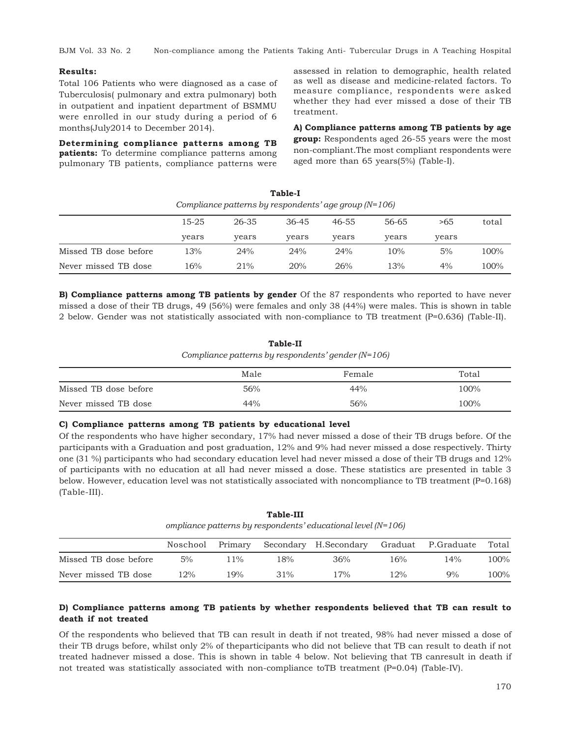BJM Vol. 33 No. 2 Non-compliance among the Patients Taking Anti- Tubercular Drugs in A Teaching Hospital

#### **Results:**

Total 106 Patients who were diagnosed as a case of Tuberculosis( pulmonary and extra pulmonary) both in outpatient and inpatient department of BSMMU were enrolled in our study during a period of 6 months(July2014 to December 2014).

**Determining compliance patterns among TB patients:** To determine compliance patterns among pulmonary TB patients, compliance patterns were

assessed in relation to demographic, health related as well as disease and medicine-related factors. To measure compliance, respondents were asked whether they had ever missed a dose of their TB treatment.

**A) Compliance patterns among TB patients by age group:** Respondents aged 26-55 years were the most non-compliant.The most compliant respondents were aged more than 65 years(5%) (Table-I).

|                       |       | Compliance patterns by respondents' age group $(N=106)$ |           |       |       |       |       |
|-----------------------|-------|---------------------------------------------------------|-----------|-------|-------|-------|-------|
|                       | 15-25 | 26-35                                                   | $36 - 45$ | 46-55 | 56-65 | >65   | total |
|                       | years | years                                                   | years     | years | years | years |       |
| Missed TB dose before | 13%   | 24%                                                     | 24%       | 24%   | 10%   | 5%    | 100%  |
| Never missed TB dose  | 16%   | 21%                                                     | 20%       | 26%   | 13%   | 4%    | 100%  |

**Table-I**

**B) Compliance patterns among TB patients by gender** Of the 87 respondents who reported to have never missed a dose of their TB drugs, 49 (56%) were females and only 38 (44%) were males. This is shown in table 2 below. Gender was not statistically associated with non-compliance to TB treatment (P=0.636) (Table-II).

## **Table-II** *Compliance patterns by respondents' gender (N=106)*

|                       | Male | Female | Total |
|-----------------------|------|--------|-------|
| Missed TB dose before | 56%  | 44%    | 100%  |
| Never missed TB dose  | 44%  | 56%    | 100%  |

#### **C) Compliance patterns among TB patients by educational level**

Of the respondents who have higher secondary, 17% had never missed a dose of their TB drugs before. Of the participants with a Graduation and post graduation, 12% and 9% had never missed a dose respectively. Thirty one (31 %) participants who had secondary education level had never missed a dose of their TB drugs and 12% of participants with no education at all had never missed a dose. These statistics are presented in table 3 below. However, education level was not statistically associated with noncompliance to TB treatment (P=0.168) (Table-III).

**Table-III** *ompliance patterns by respondents' educational level (N=106)*

|                       | Noschool | Primary |        | Secondary H.Secondary Graduat P.Graduate |        |     | Total |
|-----------------------|----------|---------|--------|------------------------------------------|--------|-----|-------|
| Missed TB dose before | 5%       | $1\%$   | $18\%$ | 36%                                      | 16%    | 14% | 100%  |
| Never missed TB dose  | $12\%$   | 9%      | 31%    | $17\%$                                   | $12\%$ | 9%  | 100%  |

## **D) Compliance patterns among TB patients by whether respondents believed that TB can result to death if not treated**

Of the respondents who believed that TB can result in death if not treated, 98% had never missed a dose of their TB drugs before, whilst only 2% of theparticipants who did not believe that TB can result to death if not treated hadnever missed a dose. This is shown in table 4 below. Not believing that TB canresult in death if not treated was statistically associated with non-compliance toTB treatment (P=0.04) (Table-IV).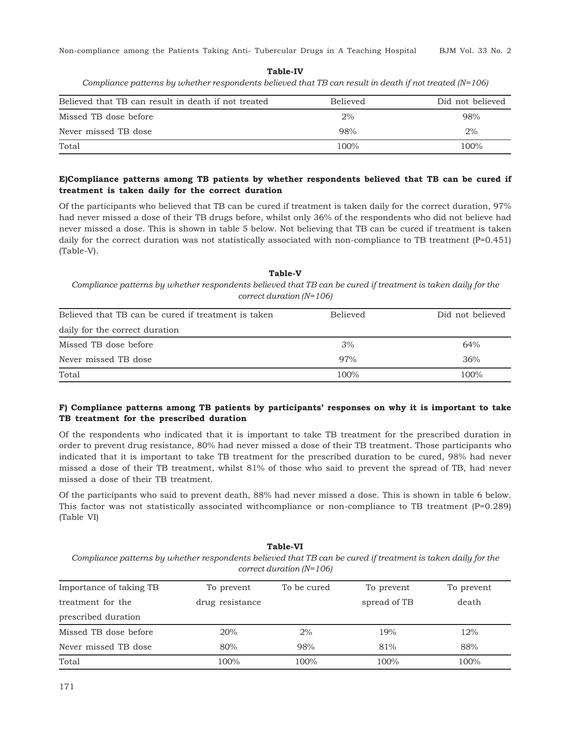Non-compliance among the Patients Taking Anti- Tubercular Drugs in A Teaching Hospital BJM Vol. 33 No. 2

## **Table-IV**

*Compliance patterns by whether respondents believed that TB can result in death if not treated (N=106)*

| Believed that TB can result in death if not treated | <b>Believed</b> | Did not believed |
|-----------------------------------------------------|-----------------|------------------|
| Missed TB dose before                               | 2%              | 98%              |
| Never missed TB dose                                | 98%             | 2%               |
| Total                                               | 100%            | 100%             |

## **E)Compliance patterns among TB patients by whether respondents believed that TB can be cured if treatment is taken daily for the correct duration**

Of the participants who believed that TB can be cured if treatment is taken daily for the correct duration, 97% had never missed a dose of their TB drugs before, whilst only 36% of the respondents who did not believe had never missed a dose. This is shown in table 5 below. Not believing that TB can be cured if treatment is taken daily for the correct duration was not statistically associated with non-compliance to TB treatment (P=0.451) (Table-V).

## **Table-V** *Compliance patterns by whether respondents believed that TB can be cured if treatment is taken daily for the correct duration (N=106)*

| Believed that TB can be cured if treatment is taken | <b>Believed</b> | Did not believed |
|-----------------------------------------------------|-----------------|------------------|
| daily for the correct duration                      |                 |                  |
| Missed TB dose before                               | 3%              | 64%              |
| Never missed TB dose                                | 97%             | 36%              |
| Total                                               | 100%            | 100%             |

## **F) Compliance patterns among TB patients by participants' responses on why it is important to take TB treatment for the prescribed duration**

Of the respondents who indicated that it is important to take TB treatment for the prescribed duration in order to prevent drug resistance, 80% had never missed a dose of their TB treatment. Those participants who indicated that it is important to take TB treatment for the prescribed duration to be cured, 98% had never missed a dose of their TB treatment, whilst 81% of those who said to prevent the spread of TB, had never missed a dose of their TB treatment.

Of the participants who said to prevent death, 88% had never missed a dose. This is shown in table 6 below. This factor was not statistically associated with compliance or non-compliance to TB treatment  $(P=0.289)$ (Table VI)

#### **Table-VI**

*Compliance patterns by whether respondents believed that TB can be cured if treatment is taken daily for the correct duration (N=106)*

| Importance of taking TB | To prevent      | To be cured | To prevent   | To prevent |
|-------------------------|-----------------|-------------|--------------|------------|
| treatment for the       | drug resistance |             | spread of TB | death      |
| prescribed duration     |                 |             |              |            |
| Missed TB dose before   | 20%             | 2%          | 19%          | 12%        |
| Never missed TB dose    | 80%             | 98%         | 81%          | 88%        |
| Total                   | 100%            | 100%        | 100%         | 100%       |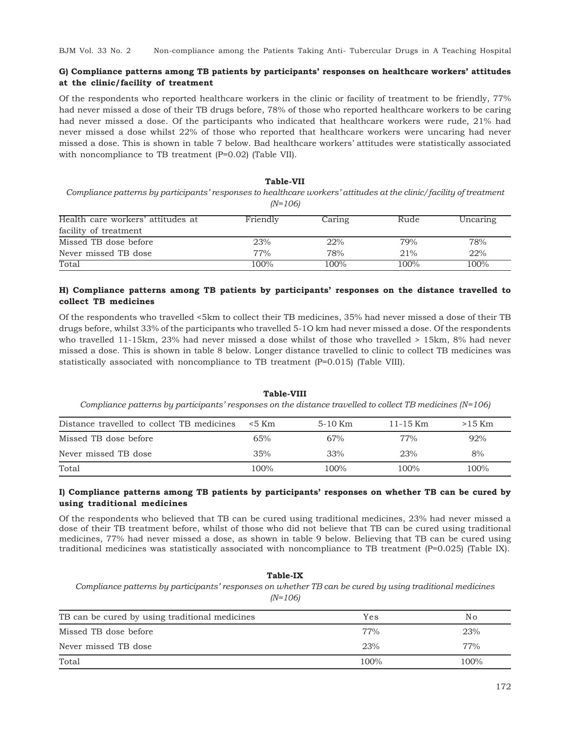## **G) Compliance patterns among TB patients by participants' responses on healthcare workers' attitudes at the clinic/facility of treatment**

Of the respondents who reported healthcare workers in the clinic or facility of treatment to be friendly, 77% had never missed a dose of their TB drugs before, 78% of those who reported healthcare workers to be caring had never missed a dose. Of the participants who indicated that healthcare workers were rude, 21% had never missed a dose whilst 22% of those who reported that healthcare workers were uncaring had never missed a dose. This is shown in table 7 below. Bad healthcare workers' attitudes were statistically associated with noncompliance to TB treatment (P=0.02) (Table VII).

## **Table-VII**

*Compliance patterns by participants' responses to healthcare workers' attitudes at the clinic/facility of treatment (N=106)*

| Health care workers' attitudes at | Friendly | Caring | Rude | Uncaring |
|-----------------------------------|----------|--------|------|----------|
| facility of treatment             |          |        |      |          |
| Missed TB dose before             | 23%      | 22%    | 79%  | 78%      |
| Never missed TB dose              | 77%      | 78%    | 21%  | 22%      |
| Total                             | 100%     | 100%   | 100% | 100%     |

## **H) Compliance patterns among TB patients by participants' responses on the distance travelled to collect TB medicines**

Of the respondents who travelled <5km to collect their TB medicines, 35% had never missed a dose of their TB drugs before, whilst 33% of the participants who travelled 5-1O km had never missed a dose. Of the respondents who travelled 11-15km, 23% had never missed a dose whilst of those who travelled > 15km, 8% had never missed a dose. This is shown in table 8 below. Longer distance travelled to clinic to collect TB medicines was statistically associated with noncompliance to TB treatment (P=0.015) (Table VIII).

#### **Table-VIII**

*Compliance patterns by participants' responses on the distance travelled to collect TB medicines (N=106)*

| Distance travelled to collect TB medicines | $< 5$ Km | 5-10 Km | 11-15 Km | $>15$ Km |
|--------------------------------------------|----------|---------|----------|----------|
| Missed TB dose before                      | 65%      | 67%     | 77%      | 92%      |
| Never missed TB dose                       | 35%      | 33%     | 23%      | 8%       |
| Total                                      | $100\%$  | 100%    | 100%     | 100%     |

## **I) Compliance patterns among TB patients by participants' responses on whether TB can be cured by using traditional medicines**

Of the respondents who believed that TB can be cured using traditional medicines, 23% had never missed a dose of their TB treatment before, whilst of those who did not believe that TB can be cured using traditional medicines, 77% had never missed a dose, as shown in table 9 below. Believing that TB can be cured using traditional medicines was statistically associated with noncompliance to TB treatment (P=0.025) (Table IX).

## **Table-IX** *Compliance patterns by participants' responses on whether TB can be cured by using traditional medicines (N=106)*

| TB can be cured by using traditional medicines | Yes  | No.     |
|------------------------------------------------|------|---------|
| Missed TB dose before                          | 77%  | 23%     |
| Never missed TB dose                           | 23%  | 77%     |
| Total                                          | 100% | $100\%$ |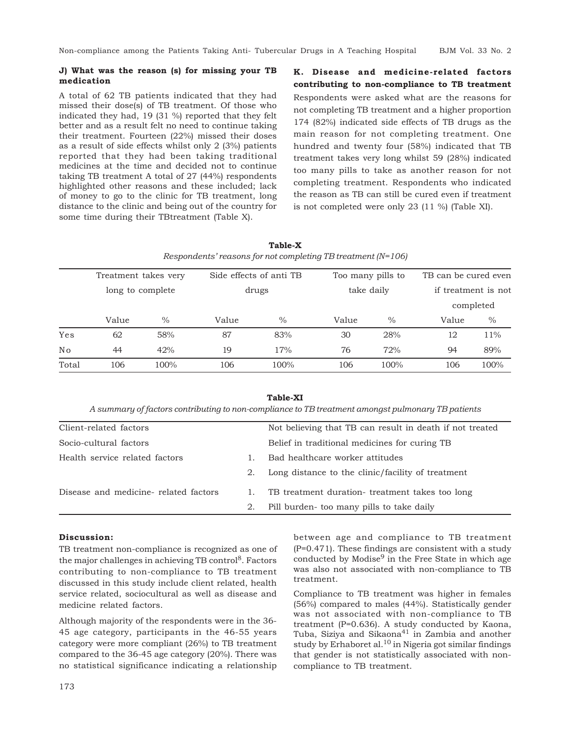#### **J) What was the reason (s) for missing your TB medication**

A total of 62 TB patients indicated that they had missed their dose(s) of TB treatment. Of those who indicated they had, 19 (31 %) reported that they felt better and as a result felt no need to continue taking their treatment. Fourteen (22%) missed their doses as a result of side effects whilst only 2 (3%) patients reported that they had been taking traditional medicines at the time and decided not to continue taking TB treatment A total of 27 (44%) respondents highlighted other reasons and these included; lack of money to go to the clinic for TB treatment, long distance to the clinic and being out of the country for some time during their TBtreatment (Table X).

**K. Disease and medicine-related factors contributing to non-compliance to TB treatment** Respondents were asked what are the reasons for not completing TB treatment and a higher proportion 174 (82%) indicated side effects of TB drugs as the main reason for not completing treatment. One hundred and twenty four (58%) indicated that TB treatment takes very long whilst 59 (28%) indicated too many pills to take as another reason for not completing treatment. Respondents who indicated the reason as TB can still be cured even if treatment is not completed were only 23 (11 %) (Table XI).

|                |                      |                  |                         | Respondents' reasons for not completing TB treatment $(N=106)$ |            |                   |                      |           |  |
|----------------|----------------------|------------------|-------------------------|----------------------------------------------------------------|------------|-------------------|----------------------|-----------|--|
|                | Treatment takes very |                  | Side effects of anti TB |                                                                |            | Too many pills to | TB can be cured even |           |  |
|                |                      | long to complete | drugs                   |                                                                | take daily |                   | if treatment is not  |           |  |
|                |                      |                  |                         |                                                                |            |                   |                      | completed |  |
|                | Value                | $\%$             | Value                   | $\frac{0}{0}$                                                  | Value      | $\%$              | Value                | $\%$      |  |
| Yes            | 62                   | 58%              | 87                      | 83%                                                            | 30         | 28%               | 12                   | 11%       |  |
| N <sub>o</sub> | 44                   | 42%              | 19                      | 17%                                                            | 76         | 72%               | 94                   | 89%       |  |
| Total          | 106                  | $100\%$          | 106                     | 100%                                                           | 106        | 100%              | 106                  | 100%      |  |

**Table-X**

#### **Table-XI**

*A summary of factors contributing to non-compliance to TB treatment amongst pulmonary TB patients*

| Client-related factors                |    | Not believing that TB can result in death if not treated |
|---------------------------------------|----|----------------------------------------------------------|
| Socio-cultural factors                |    | Belief in traditional medicines for curing TB            |
| Health service related factors        |    | Bad healthcare worker attitudes                          |
|                                       | 2. | Long distance to the clinic/facility of treatment        |
| Disease and medicine- related factors |    | TB treatment duration-treatment takes too long           |
|                                       | 2. | Pill burden- too many pills to take daily                |

#### **Discussion:**

TB treatment non-compliance is recognized as one of the major challenges in achieving  $TB$  control<sup>8</sup>. Factors contributing to non-compliance to TB treatment discussed in this study include client related, health service related, sociocultural as well as disease and medicine related factors.

Although majority of the respondents were in the 36- 45 age category, participants in the 46-55 years category were more compliant (26%) to TB treatment compared to the 36-45 age category (20%). There was no statistical significance indicating a relationship between age and compliance to TB treatment (P=0.471). These findings are consistent with a study conducted by Modise $9$  in the Free State in which age was also not associated with non-compliance to TB treatment.

Compliance to TB treatment was higher in females (56%) compared to males (44%). Statistically gender was not associated with non-compliance to TB treatment (P=0.636). A study conducted by Kaona, Tuba, Siziya and Sikaona<sup>41</sup> in Zambia and another study by Erhaboret al.<sup>10</sup> in Nigeria got similar findings that gender is not statistically associated with noncompliance to TB treatment.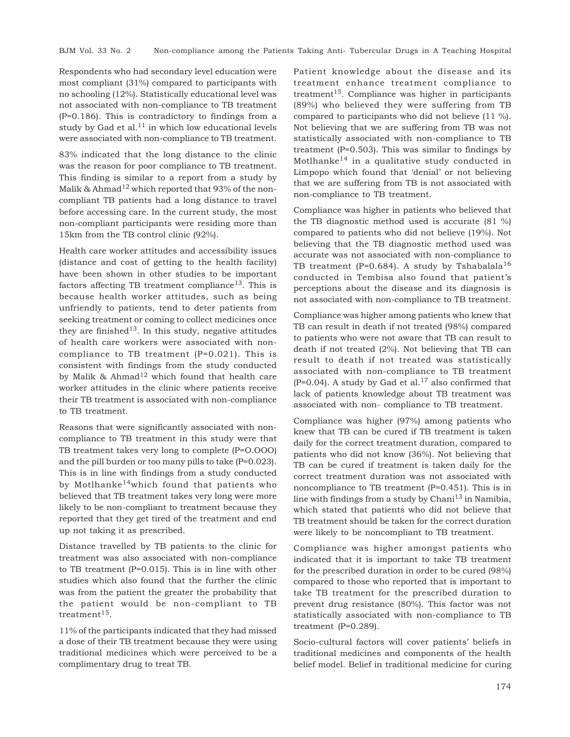Respondents who had secondary level education were most compliant (31%) compared to participants with no schooling (12%). Statistically educational level was not associated with non-compliance to TB treatment (P=0.186). This is contradictory to findings from a study by Gad et al. $^{11}$  in which low educational levels were associated with non-compliance to TB treatment.

83% indicated that the long distance to the clinic was the reason for poor compliance to TB treatment. This finding is similar to a report from a study by Malik & Ahmad<sup>12</sup> which reported that 93% of the noncompliant TB patients had a long distance to travel before accessing care. In the current study, the most non-compliant participants were residing more than 15km from the TB control clinic (92%).

Health care worker attitudes and accessibility issues (distance and cost of getting to the health facility) have been shown in other studies to be important factors affecting TB treatment compliance<sup>13</sup>. This is because health worker attitudes, such as being unfriendly to patients, tend to deter patients from seeking treatment or coming to collect medicines once they are finished<sup>13</sup>. In this study, negative attitudes of health care workers were associated with noncompliance to TB treatment (P=0.021). This is consistent with findings from the study conducted by Malik & Ahmad<sup>12</sup> which found that health care worker attitudes in the clinic where patients receive their TB treatment is associated with non-compliance to TB treatment.

Reasons that were significantly associated with noncompliance to TB treatment in this study were that TB treatment takes very long to complete (P=O.OOO) and the pill burden or too many pills to take (P=0.023). This is in line with findings from a study conducted by Motlhanke<sup>14</sup>which found that patients who believed that TB treatment takes very long were more likely to be non-compliant to treatment because they reported that they get tired of the treatment and end up not taking it as prescribed.

Distance travelled by TB patients to the clinic for treatment was also associated with non-compliance to TB treatment (P=0.015). This is in line with other studies which also found that the further the clinic was from the patient the greater the probability that the patient would be non-compliant to TB treatment<sup>15</sup>.

11% of the participants indicated that they had missed a dose of their TB treatment because they were using traditional medicines which were perceived to be a complimentary drug to treat TB.

Patient knowledge about the disease and its treatment enhance treatment compliance to treatment<sup>15</sup>. Compliance was higher in participants (89%) who believed they were suffering from TB compared to participants who did not believe (11 %). Not believing that we are suffering from TB was not statistically associated with non-compliance to TB treatment (P=0.503). This was similar to findings by Motlhanke<sup>14</sup> in a qualitative study conducted in Limpopo which found that 'denial' or not believing that we are suffering from TB is not associated with non-compliance to TB treatment.

Compliance was higher in patients who believed that the TB diagnostic method used is accurate (81 %) compared to patients who did not believe (19%). Not believing that the TB diagnostic method used was accurate was not associated with non-compliance to TB treatment (P=0.684). A study by Tshabalala<sup>16</sup> conducted in Tembisa also found that patient's perceptions about the disease and its diagnosis is not associated with non-compliance to TB treatment.

Compliance was higher among patients who knew that TB can result in death if not treated (98%) compared to patients who were not aware that TB can result to death if not treated (2%). Not believing that TB can result to death if not treated was statistically associated with non-compliance to TB treatment  $(P=0.04)$ . A study by Gad et al.<sup>17</sup> also confirmed that lack of patients knowledge about TB treatment was associated with non- compliance to TB treatment.

Compliance was higher (97%) among patients who knew that TB can be cured if TB treatment is taken daily for the correct treatment duration, compared to patients who did not know (36%). Not believing that TB can be cured if treatment is taken daily for the correct treatment duration was not associated with noncompliance to TB treatment (P=0.451). This is in line with findings from a study by Chani $13$  in Namibia, which stated that patients who did not believe that TB treatment should be taken for the correct duration were likely to be noncompliant to TB treatment.

Compliance was higher amongst patients who indicated that it is important to take TB treatment for the prescribed duration in order to be cured (98%) compared to those who reported that is important to take TB treatment for the prescribed duration to prevent drug resistance (80%). This factor was not statistically associated with non-compliance to TB treatment  $(P=0.289)$ .

Socio-cultural factors will cover patients' beliefs in traditional medicines and components of the health belief model. Belief in traditional medicine for curing